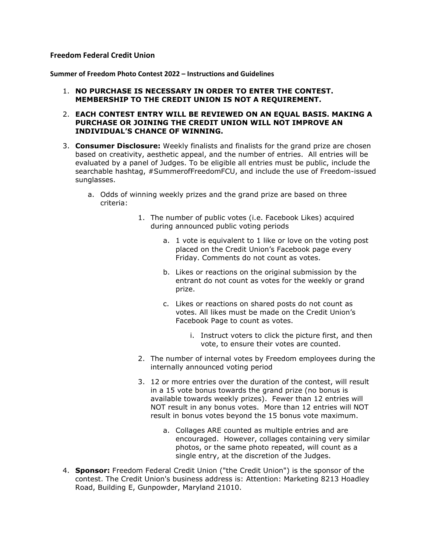## **Freedom Federal Credit Union**

**Summer of Freedom Photo Contest 2022 – Instructions and Guidelines**

- 1. **NO PURCHASE IS NECESSARY IN ORDER TO ENTER THE CONTEST. MEMBERSHIP TO THE CREDIT UNION IS NOT A REQUIREMENT.**
- 2. **EACH CONTEST ENTRY WILL BE REVIEWED ON AN EQUAL BASIS. MAKING A PURCHASE OR JOINING THE CREDIT UNION WILL NOT IMPROVE AN INDIVIDUAL'S CHANCE OF WINNING.**
- 3. **Consumer Disclosure:** Weekly finalists and finalists for the grand prize are chosen based on creativity, aesthetic appeal, and the number of entries. All entries will be evaluated by a panel of Judges. To be eligible all entries must be public, include the searchable hashtag, #SummerofFreedomFCU, and include the use of Freedom-issued sunglasses.
	- a. Odds of winning weekly prizes and the grand prize are based on three criteria:
		- 1. The number of public votes (i.e. Facebook Likes) acquired during announced public voting periods
			- a. 1 vote is equivalent to 1 like or love on the voting post placed on the Credit Union's Facebook page every Friday. Comments do not count as votes.
			- b. Likes or reactions on the original submission by the entrant do not count as votes for the weekly or grand prize.
			- c. Likes or reactions on shared posts do not count as votes. All likes must be made on the Credit Union's Facebook Page to count as votes.
				- i. Instruct voters to click the picture first, and then vote, to ensure their votes are counted.
		- 2. The number of internal votes by Freedom employees during the internally announced voting period
		- 3. 12 or more entries over the duration of the contest, will result in a 15 vote bonus towards the grand prize (no bonus is available towards weekly prizes). Fewer than 12 entries will NOT result in any bonus votes. More than 12 entries will NOT result in bonus votes beyond the 15 bonus vote maximum.
			- a. Collages ARE counted as multiple entries and are encouraged. However, collages containing very similar photos, or the same photo repeated, will count as a single entry, at the discretion of the Judges.
- 4. **Sponsor:** Freedom Federal Credit Union ("the Credit Union") is the sponsor of the contest. The Credit Union's business address is: Attention: Marketing 8213 Hoadley Road, Building E, Gunpowder, Maryland 21010.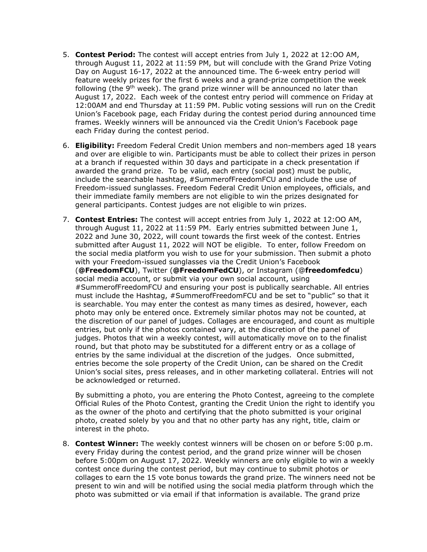- 5. **Contest Period:** The contest will accept entries from July 1, 2022 at 12:OO AM, through August 11, 2022 at 11:59 PM, but will conclude with the Grand Prize Voting Day on August 16-17, 2022 at the announced time. The 6-week entry period will feature weekly prizes for the first 6 weeks and a grand-prize competition the week following (the 9<sup>th</sup> week). The grand prize winner will be announced no later than August 17, 2022. Each week of the contest entry period will commence on Friday at 12:00AM and end Thursday at 11:59 PM. Public voting sessions will run on the Credit Union's Facebook page, each Friday during the contest period during announced time frames. Weekly winners will be announced via the Credit Union's Facebook page each Friday during the contest period.
- 6. **Eligibility:** Freedom Federal Credit Union members and non-members aged 18 years and over are eligible to win. Participants must be able to collect their prizes in person at a branch if requested within 30 days and participate in a check presentation if awarded the grand prize. To be valid, each entry (social post) must be public, include the searchable hashtag, #SummerofFreedomFCU and include the use of Freedom-issued sunglasses. Freedom Federal Credit Union employees, officials, and their immediate family members are not eligible to win the prizes designated for general participants. Contest judges are not eligible to win prizes.
- 7. **Contest Entries:** The contest will accept entries from July 1, 2022 at 12:OO AM, through August 11, 2022 at 11:59 PM. Early entries submitted between June 1, 2022 and June 30, 2022, will count towards the first week of the contest. Entries submitted after August 11, 2022 will NOT be eligible. To enter, follow Freedom on the social media platform you wish to use for your submission. Then submit a photo with your Freedom-issued sunglasses via the Credit Union's Facebook (**@FreedomFCU**), Twitter (**@FreedomFedCU**), or Instagram (@**freedomfedcu**) social media account, or submit via your own social account, using #SummerofFreedomFCU and ensuring your post is publically searchable. All entries must include the Hashtag, #SummerofFreedomFCU and be set to "public" so that it is searchable. You may enter the contest as many times as desired, however, each photo may only be entered once. Extremely similar photos may not be counted, at the discretion of our panel of judges. Collages are encouraged, and count as multiple entries, but only if the photos contained vary, at the discretion of the panel of judges. Photos that win a weekly contest, will automatically move on to the finalist round, but that photo may be substituted for a different entry or as a collage of entries by the same individual at the discretion of the judges. Once submitted, entries become the sole property of the Credit Union, can be shared on the Credit Union's social sites, press releases, and in other marketing collateral. Entries will not be acknowledged or returned.

By submitting a photo, you are entering the Photo Contest, agreeing to the complete Official Rules of the Photo Contest, granting the Credit Union the right to identify you as the owner of the photo and certifying that the photo submitted is your original photo, created solely by you and that no other party has any right, title, claim or interest in the photo.

8. **Contest Winner:** The weekly contest winners will be chosen on or before 5:00 p.m. every Friday during the contest period, and the grand prize winner will be chosen before 5:00pm on August 17, 2022. Weekly winners are only eligible to win a weekly contest once during the contest period, but may continue to submit photos or collages to earn the 15 vote bonus towards the grand prize. The winners need not be present to win and will be notified using the social media platform through which the photo was submitted or via email if that information is available. The grand prize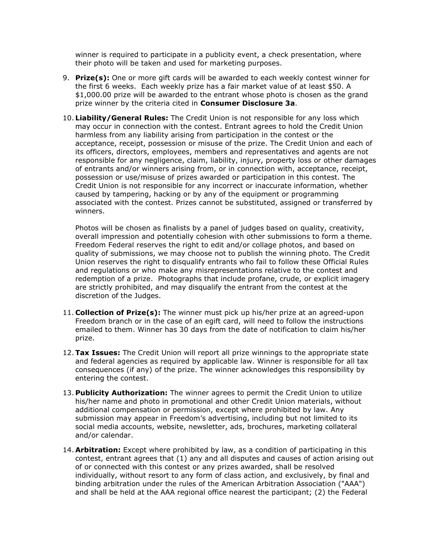winner is required to participate in a publicity event, a check presentation, where their photo will be taken and used for marketing purposes.

- 9. **Prize(s):** One or more gift cards will be awarded to each weekly contest winner for the first 6 weeks. Each weekly prize has a fair market value of at least \$50. A \$1,000.00 prize will be awarded to the entrant whose photo is chosen as the grand prize winner by the criteria cited in **Consumer Disclosure 3a**.
- 10. **Liability/General Rules:** The Credit Union is not responsible for any loss which may occur in connection with the contest. Entrant agrees to hold the Credit Union harmless from any liability arising from participation in the contest or the acceptance, receipt, possession or misuse of the prize. The Credit Union and each of its officers, directors, employees, members and representatives and agents are not responsible for any negligence, claim, liability, injury, property loss or other damages of entrants and/or winners arising from, or in connection with, acceptance, receipt, possession or use/misuse of prizes awarded or participation in this contest. The Credit Union is not responsible for any incorrect or inaccurate information, whether caused by tampering, hacking or by any of the equipment or programming associated with the contest. Prizes cannot be substituted, assigned or transferred by winners.

Photos will be chosen as finalists by a panel of judges based on quality, creativity, overall impression and potentially cohesion with other submissions to form a theme. Freedom Federal reserves the right to edit and/or collage photos, and based on quality of submissions, we may choose not to publish the winning photo. The Credit Union reserves the right to disqualify entrants who fail to follow these Official Rules and regulations or who make any misrepresentations relative to the contest and redemption of a prize. Photographs that include profane, crude, or explicit imagery are strictly prohibited, and may disqualify the entrant from the contest at the discretion of the Judges.

- 11. **Collection of Prize(s):** The winner must pick up his/her prize at an agreed-upon Freedom branch or in the case of an egift card, will need to follow the instructions emailed to them. Winner has 30 days from the date of notification to claim his/her prize.
- 12.**Tax Issues:** The Credit Union will report all prize winnings to the appropriate state and federal agencies as required by applicable law. Winner is responsible for all tax consequences (if any) of the prize. The winner acknowledges this responsibility by entering the contest.
- 13. **Publicity Authorization:** The winner agrees to permit the Credit Union to utilize his/her name and photo in promotional and other Credit Union materials, without additional compensation or permission, except where prohibited by law. Any submission may appear in Freedom's advertising, including but not limited to its social media accounts, website, newsletter, ads, brochures, marketing collateral and/or calendar.
- 14. **Arbitration:** Except where prohibited by law, as a condition of participating in this contest, entrant agrees that (1) any and all disputes and causes of action arising out of or connected with this contest or any prizes awarded, shall be resolved individually, without resort to any form of class action, and exclusively, by final and binding arbitration under the rules of the American Arbitration Association ("AAA") and shall be held at the AAA regional office nearest the participant; (2) the Federal